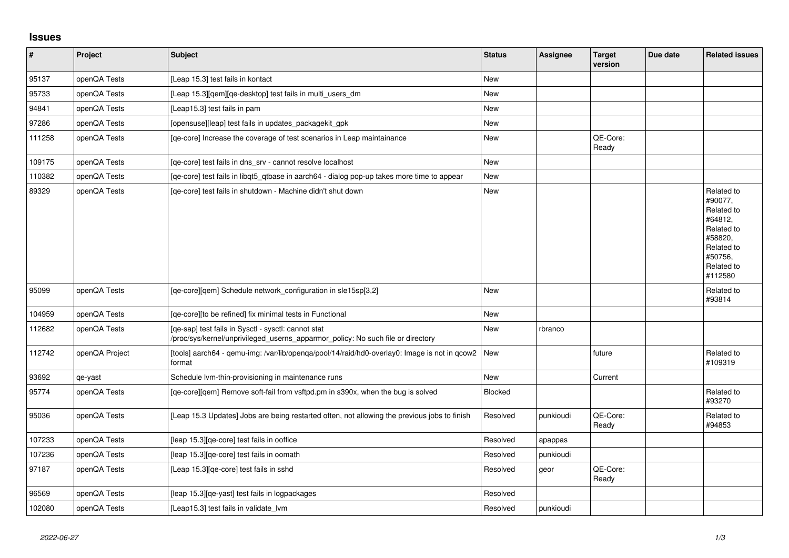## **Issues**

| $\sharp$ | Project        | <b>Subject</b>                                                                                                                         | <b>Status</b>  | Assignee  | <b>Target</b><br>version | Due date | <b>Related issues</b>                                                                                                     |
|----------|----------------|----------------------------------------------------------------------------------------------------------------------------------------|----------------|-----------|--------------------------|----------|---------------------------------------------------------------------------------------------------------------------------|
| 95137    | openQA Tests   | [Leap 15.3] test fails in kontact                                                                                                      | <b>New</b>     |           |                          |          |                                                                                                                           |
| 95733    | openQA Tests   | [Leap 15.3][qem][qe-desktop] test fails in multi_users_dm                                                                              | <b>New</b>     |           |                          |          |                                                                                                                           |
| 94841    | openQA Tests   | [Leap15.3] test fails in pam                                                                                                           | <b>New</b>     |           |                          |          |                                                                                                                           |
| 97286    | openQA Tests   | [opensuse][leap] test fails in updates packagekit gpk                                                                                  | <b>New</b>     |           |                          |          |                                                                                                                           |
| 111258   | openQA Tests   | [qe-core] Increase the coverage of test scenarios in Leap maintainance                                                                 | <b>New</b>     |           | QE-Core:<br>Ready        |          |                                                                                                                           |
| 109175   | openQA Tests   | [qe-core] test fails in dns_srv - cannot resolve localhost                                                                             | New            |           |                          |          |                                                                                                                           |
| 110382   | openQA Tests   | [qe-core] test fails in libqt5_qtbase in aarch64 - dialog pop-up takes more time to appear                                             | <b>New</b>     |           |                          |          |                                                                                                                           |
| 89329    | openQA Tests   | [qe-core] test fails in shutdown - Machine didn't shut down                                                                            | <b>New</b>     |           |                          |          | Related to<br>#90077,<br>Related to<br>#64812,<br>Related to<br>#58820,<br>Related to<br>#50756,<br>Related to<br>#112580 |
| 95099    | openQA Tests   | [qe-core][qem] Schedule network_configuration in sle15sp[3,2]                                                                          | <b>New</b>     |           |                          |          | Related to<br>#93814                                                                                                      |
| 104959   | openQA Tests   | [ge-core][to be refined] fix minimal tests in Functional                                                                               | <b>New</b>     |           |                          |          |                                                                                                                           |
| 112682   | openQA Tests   | [ge-sap] test fails in Sysctl - sysctl: cannot stat<br>/proc/sys/kernel/unprivileged_userns_apparmor_policy: No such file or directory | <b>New</b>     | rbranco   |                          |          |                                                                                                                           |
| 112742   | openQA Project | [tools] aarch64 - qemu-img: /var/lib/openqa/pool/14/raid/hd0-overlay0: Image is not in qcow2<br>format                                 | <b>New</b>     |           | future                   |          | Related to<br>#109319                                                                                                     |
| 93692    | qe-yast        | Schedule Ivm-thin-provisioning in maintenance runs                                                                                     | <b>New</b>     |           | Current                  |          |                                                                                                                           |
| 95774    | openQA Tests   | [qe-core][qem] Remove soft-fail from vsftpd.pm in s390x, when the bug is solved                                                        | <b>Blocked</b> |           |                          |          | Related to<br>#93270                                                                                                      |
| 95036    | openQA Tests   | [Leap 15.3 Updates] Jobs are being restarted often, not allowing the previous jobs to finish                                           | Resolved       | punkioudi | QE-Core:<br>Ready        |          | Related to<br>#94853                                                                                                      |
| 107233   | openQA Tests   | [leap 15.3][qe-core] test fails in ooffice                                                                                             | Resolved       | apappas   |                          |          |                                                                                                                           |
| 107236   | openQA Tests   | [leap 15.3][qe-core] test fails in oomath                                                                                              | Resolved       | punkioudi |                          |          |                                                                                                                           |
| 97187    | openQA Tests   | [Leap 15.3][qe-core] test fails in sshd                                                                                                | Resolved       | geor      | QE-Core:<br>Ready        |          |                                                                                                                           |
| 96569    | openQA Tests   | [leap 15.3] [qe-yast] test fails in logpackages                                                                                        | Resolved       |           |                          |          |                                                                                                                           |
| 102080   | openQA Tests   | [Leap15.3] test fails in validate lym                                                                                                  | Resolved       | punkioudi |                          |          |                                                                                                                           |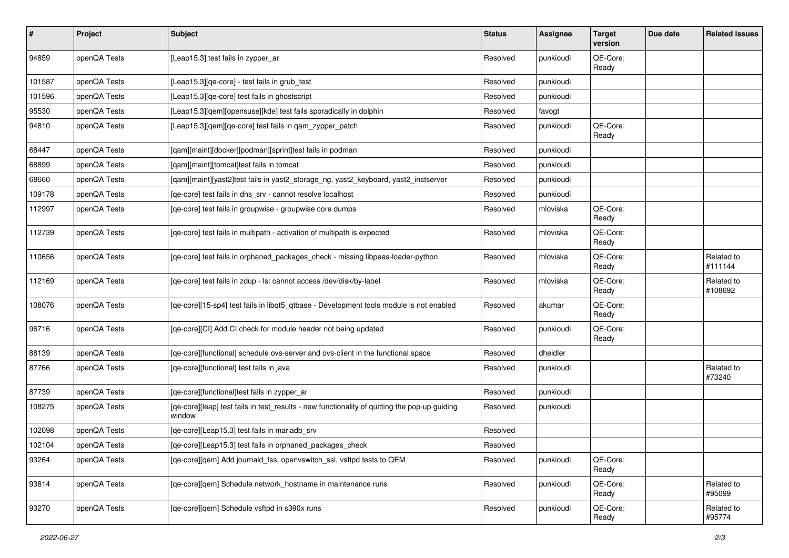| #      | <b>Project</b> | Subject                                                                                                 | <b>Status</b> | <b>Assignee</b> | <b>Target</b><br>version | Due date | <b>Related issues</b> |
|--------|----------------|---------------------------------------------------------------------------------------------------------|---------------|-----------------|--------------------------|----------|-----------------------|
| 94859  | openQA Tests   | [Leap15.3] test fails in zypper_ar                                                                      | Resolved      | punkioudi       | QE-Core:<br>Ready        |          |                       |
| 101587 | openQA Tests   | [Leap15.3] [ge-core] - test fails in grub test                                                          | Resolved      | punkioudi       |                          |          |                       |
| 101596 | openQA Tests   | [Leap15.3][qe-core] test fails in ghostscript                                                           | Resolved      | punkioudi       |                          |          |                       |
| 95530  | openQA Tests   | [Leap15.3][qem][opensuse][kde] test fails sporadically in dolphin                                       | Resolved      | favogt          |                          |          |                       |
| 94810  | openQA Tests   | [Leap15.3][gem][ge-core] test fails in gam_zypper_patch                                                 | Resolved      | punkioudi       | QE-Core:<br>Ready        |          |                       |
| 68447  | openQA Tests   | [qam][maint][docker][podman][sprint]test fails in podman                                                | Resolved      | punkioudi       |                          |          |                       |
| 68899  | openQA Tests   | [qam][maint][tomcat]test fails in tomcat                                                                | Resolved      | punkioudi       |                          |          |                       |
| 68660  | openQA Tests   | [qam][maint][yast2]test fails in yast2_storage_ng, yast2_keyboard, yast2_instserver                     | Resolved      | punkioudi       |                          |          |                       |
| 109178 | openQA Tests   | [qe-core] test fails in dns_srv - cannot resolve localhost                                              | Resolved      | punkioudi       |                          |          |                       |
| 112997 | openQA Tests   | [qe-core] test fails in groupwise - groupwise core dumps                                                | Resolved      | mloviska        | QE-Core:<br>Ready        |          |                       |
| 112739 | openQA Tests   | [qe-core] test fails in multipath - activation of multipath is expected                                 | Resolved      | mloviska        | QE-Core:<br>Ready        |          |                       |
| 110656 | openQA Tests   | [qe-core] test fails in orphaned_packages_check - missing libpeas-loader-python                         | Resolved      | mloviska        | QE-Core:<br>Ready        |          | Related to<br>#111144 |
| 112169 | openQA Tests   | [qe-core] test fails in zdup - ls: cannot access /dev/disk/by-label                                     | Resolved      | mloviska        | QE-Core:<br>Ready        |          | Related to<br>#108692 |
| 108076 | openQA Tests   | [qe-core][15-sp4] test fails in libqt5_qtbase - Development tools module is not enabled                 | Resolved      | akumar          | QE-Core:<br>Ready        |          |                       |
| 96716  | openQA Tests   | [qe-core][CI] Add CI check for module header not being updated                                          | Resolved      | punkioudi       | QE-Core:<br>Ready        |          |                       |
| 88139  | openQA Tests   | [ge-core][functional] schedule ovs-server and ovs-client in the functional space                        | Resolved      | dheidler        |                          |          |                       |
| 87766  | openQA Tests   | [qe-core][functional] test fails in java                                                                | Resolved      | punkioudi       |                          |          | Related to<br>#73240  |
| 87739  | openQA Tests   | [qe-core][functional]test fails in zypper_ar                                                            | Resolved      | punkioudi       |                          |          |                       |
| 108275 | openQA Tests   | [qe-core][leap] test fails in test_results - new functionality of quitting the pop-up guiding<br>window | Resolved      | punkioudi       |                          |          |                       |
| 102098 | openQA Tests   | [ge-core][Leap15.3] test fails in mariadb srv                                                           | Resolved      |                 |                          |          |                       |
| 102104 | openQA Tests   | [qe-core][Leap15.3] test fails in orphaned_packages_check                                               | Resolved      |                 |                          |          |                       |
| 93264  | openQA Tests   | [qe-core][qem] Add journald_fss, openvswitch_ssl, vsftpd tests to QEM                                   | Resolved      | punkioudi       | QE-Core:<br>Ready        |          |                       |
| 93814  | openQA Tests   | [qe-core][qem] Schedule network_hostname in maintenance runs                                            | Resolved      | punkioudi       | QE-Core:<br>Ready        |          | Related to<br>#95099  |
| 93270  | openQA Tests   | [qe-core][qem] Schedule vsftpd in s390x runs                                                            | Resolved      | punkioudi       | QE-Core:<br>Ready        |          | Related to<br>#95774  |